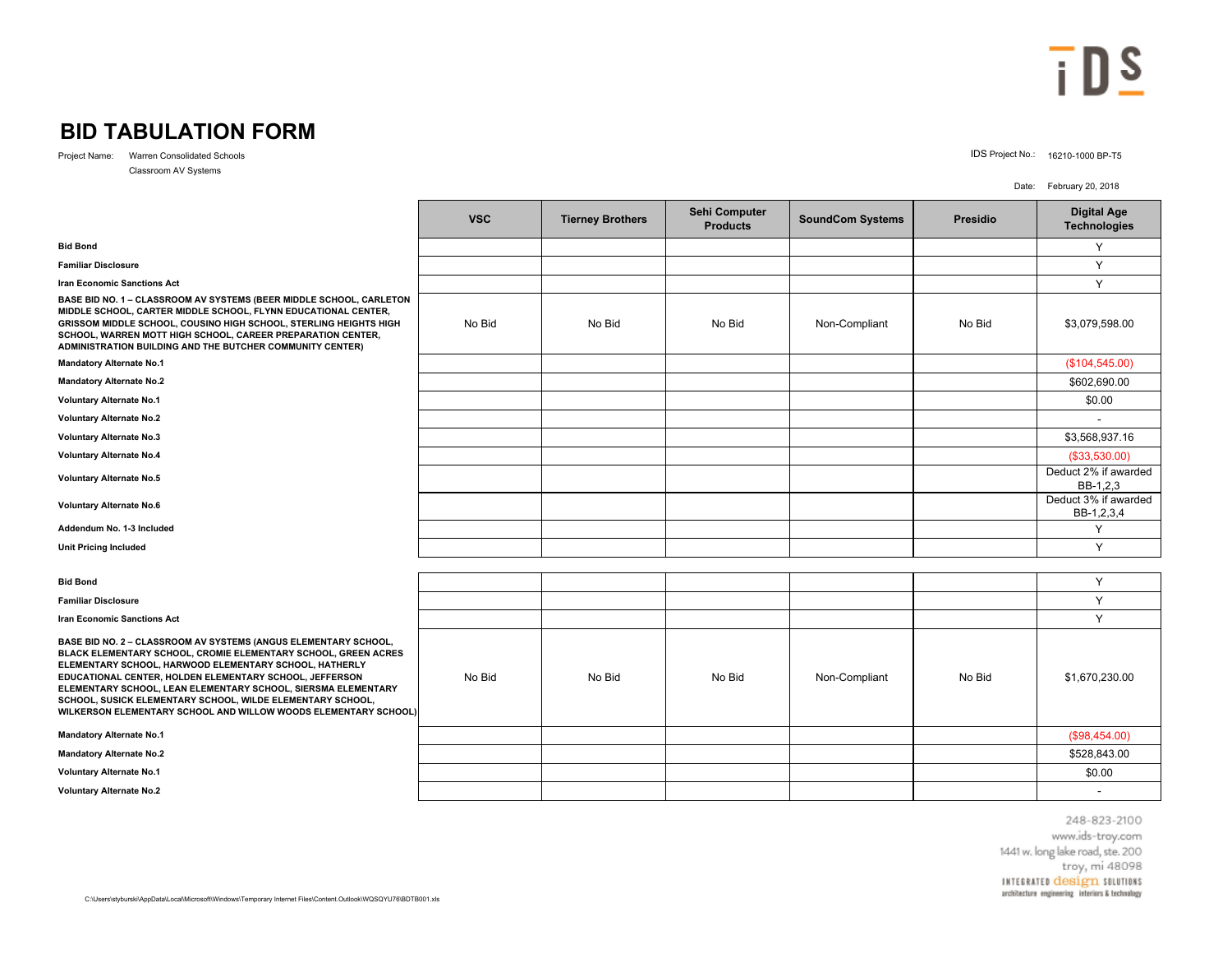## $\overline{\mathbf{i}}$  DS

## **BID TABULATION FORM**

Project Name: Warren Consolidated Schools IDS Project No.: 16210-1000 BP-T5

Classroom AV Systems

Date: February 20, 2018

|                                                                                                                                                                                                                                                                                                                                                                                                                                                          | <b>VSC</b> | <b>Tierney Brothers</b> | Sehi Computer<br><b>Products</b> | <b>SoundCom Systems</b> | <b>Presidio</b> | <b>Digital Age</b><br><b>Technologies</b> |  |  |  |
|----------------------------------------------------------------------------------------------------------------------------------------------------------------------------------------------------------------------------------------------------------------------------------------------------------------------------------------------------------------------------------------------------------------------------------------------------------|------------|-------------------------|----------------------------------|-------------------------|-----------------|-------------------------------------------|--|--|--|
| <b>Bid Bond</b>                                                                                                                                                                                                                                                                                                                                                                                                                                          |            |                         |                                  |                         |                 | Y                                         |  |  |  |
| <b>Familiar Disclosure</b>                                                                                                                                                                                                                                                                                                                                                                                                                               |            |                         |                                  |                         |                 | Y                                         |  |  |  |
| <b>Iran Economic Sanctions Act</b>                                                                                                                                                                                                                                                                                                                                                                                                                       |            |                         |                                  |                         |                 | Y                                         |  |  |  |
| BASE BID NO. 1 - CLASSROOM AV SYSTEMS (BEER MIDDLE SCHOOL, CARLETON<br>MIDDLE SCHOOL, CARTER MIDDLE SCHOOL, FLYNN EDUCATIONAL CENTER,<br>GRISSOM MIDDLE SCHOOL, COUSINO HIGH SCHOOL, STERLING HEIGHTS HIGH<br>SCHOOL, WARREN MOTT HIGH SCHOOL, CAREER PREPARATION CENTER,<br>ADMINISTRATION BUILDING AND THE BUTCHER COMMUNITY CENTER)                                                                                                                   | No Bid     | No Bid                  | No Bid                           | Non-Compliant           | No Bid          | \$3,079,598.00                            |  |  |  |
| <b>Mandatory Alternate No.1</b>                                                                                                                                                                                                                                                                                                                                                                                                                          |            |                         |                                  |                         |                 | (\$104, 545.00)                           |  |  |  |
| <b>Mandatory Alternate No.2</b>                                                                                                                                                                                                                                                                                                                                                                                                                          |            |                         |                                  |                         |                 | \$602,690.00                              |  |  |  |
| <b>Voluntary Alternate No.1</b>                                                                                                                                                                                                                                                                                                                                                                                                                          |            |                         |                                  |                         |                 | \$0.00                                    |  |  |  |
| <b>Voluntary Alternate No.2</b>                                                                                                                                                                                                                                                                                                                                                                                                                          |            |                         |                                  |                         |                 |                                           |  |  |  |
| <b>Voluntary Alternate No.3</b>                                                                                                                                                                                                                                                                                                                                                                                                                          |            |                         |                                  |                         |                 | \$3,568,937.16                            |  |  |  |
| <b>Voluntary Alternate No.4</b>                                                                                                                                                                                                                                                                                                                                                                                                                          |            |                         |                                  |                         |                 | ( \$33,530.00)                            |  |  |  |
| <b>Voluntary Alternate No.5</b>                                                                                                                                                                                                                                                                                                                                                                                                                          |            |                         |                                  |                         |                 | Deduct 2% if awarded<br>BB-1,2,3          |  |  |  |
| <b>Voluntary Alternate No.6</b>                                                                                                                                                                                                                                                                                                                                                                                                                          |            |                         |                                  |                         |                 | Deduct 3% if awarded<br>BB-1,2,3,4        |  |  |  |
| Addendum No. 1-3 Included                                                                                                                                                                                                                                                                                                                                                                                                                                |            |                         |                                  |                         |                 | Y                                         |  |  |  |
| <b>Unit Pricing Included</b>                                                                                                                                                                                                                                                                                                                                                                                                                             |            |                         |                                  |                         |                 | Y                                         |  |  |  |
|                                                                                                                                                                                                                                                                                                                                                                                                                                                          |            |                         |                                  |                         |                 |                                           |  |  |  |
| <b>Bid Bond</b>                                                                                                                                                                                                                                                                                                                                                                                                                                          |            |                         |                                  |                         |                 | Y                                         |  |  |  |
| <b>Familiar Disclosure</b>                                                                                                                                                                                                                                                                                                                                                                                                                               |            |                         |                                  |                         |                 | Y                                         |  |  |  |
| <b>Iran Economic Sanctions Act</b>                                                                                                                                                                                                                                                                                                                                                                                                                       |            |                         |                                  |                         |                 | Y                                         |  |  |  |
| BASE BID NO. 2 - CLASSROOM AV SYSTEMS (ANGUS ELEMENTARY SCHOOL,<br>BLACK ELEMENTARY SCHOOL, CROMIE ELEMENTARY SCHOOL, GREEN ACRES<br>ELEMENTARY SCHOOL, HARWOOD ELEMENTARY SCHOOL, HATHERLY<br>EDUCATIONAL CENTER, HOLDEN ELEMENTARY SCHOOL, JEFFERSON<br>ELEMENTARY SCHOOL, LEAN ELEMENTARY SCHOOL, SIERSMA ELEMENTARY<br>SCHOOL, SUSICK ELEMENTARY SCHOOL, WILDE ELEMENTARY SCHOOL,<br>WILKERSON ELEMENTARY SCHOOL AND WILLOW WOODS ELEMENTARY SCHOOL) | No Bid     | No Bid                  | No Bid                           | Non-Compliant           | No Bid          | \$1,670,230.00                            |  |  |  |
| <b>Mandatory Alternate No.1</b>                                                                                                                                                                                                                                                                                                                                                                                                                          |            |                         |                                  |                         |                 | (\$98,454.00)                             |  |  |  |
| <b>Mandatory Alternate No.2</b>                                                                                                                                                                                                                                                                                                                                                                                                                          |            |                         |                                  |                         |                 | \$528,843.00                              |  |  |  |
| <b>Voluntary Alternate No.1</b>                                                                                                                                                                                                                                                                                                                                                                                                                          |            |                         |                                  |                         |                 | \$0.00                                    |  |  |  |
| <b>Voluntary Alternate No.2</b>                                                                                                                                                                                                                                                                                                                                                                                                                          |            |                         |                                  |                         |                 | $\overline{\phantom{a}}$                  |  |  |  |